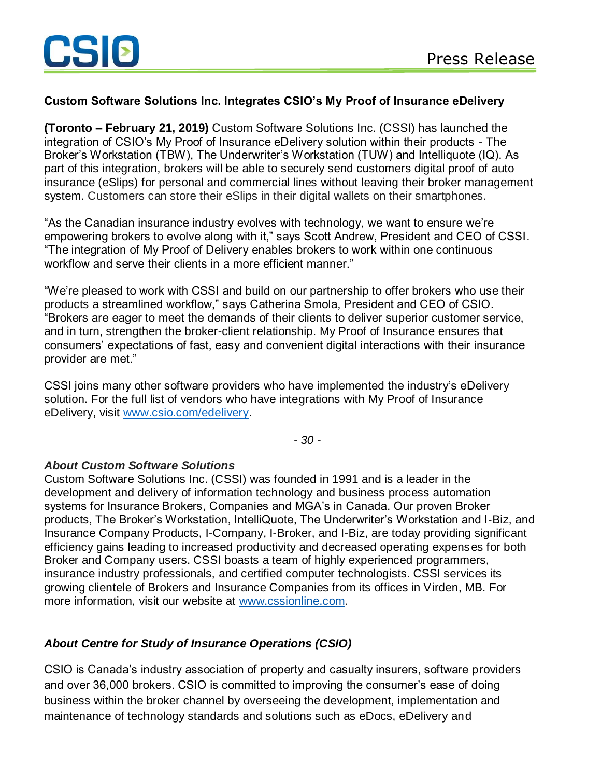## **Custom Software Solutions Inc. Integrates CSIO's My Proof of Insurance eDelivery**

**(Toronto – February 21, 2019)** Custom Software Solutions Inc. (CSSI) has launched the integration of CSIO's My Proof of Insurance eDelivery solution within their products - The Broker's Workstation (TBW), The Underwriter's Workstation (TUW) and Intelliquote (IQ). As part of this integration, brokers will be able to securely send customers digital proof of auto insurance (eSlips) for personal and commercial lines without leaving their broker management system. Customers can store their eSlips in their digital wallets on their smartphones.

"As the Canadian insurance industry evolves with technology, we want to ensure we're empowering brokers to evolve along with it," says Scott Andrew, President and CEO of CSSI. "The integration of My Proof of Delivery enables brokers to work within one continuous workflow and serve their clients in a more efficient manner."

"We're pleased to work with CSSI and build on our partnership to offer brokers who use their products a streamlined workflow," says Catherina Smola, President and CEO of CSIO. "Brokers are eager to meet the demands of their clients to deliver superior customer service, and in turn, strengthen the broker-client relationship. My Proof of Insurance ensures that consumers' expectations of fast, easy and convenient digital interactions with their insurance provider are met."

CSSI joins many other software providers who have implemented the industry's eDelivery solution. For the full list of vendors who have integrations with My Proof of Insurance eDelivery, visit [www.csio.com/edelivery.](http://www.csio.com/edelivery)

*- 30 -*

## *About Custom Software Solutions*

Custom Software Solutions Inc. (CSSI) was founded in 1991 and is a leader in the development and delivery of information technology and business process automation systems for Insurance Brokers, Companies and MGA's in Canada. Our proven Broker products, The Broker's Workstation, IntelliQuote, The Underwriter's Workstation and I-Biz, and Insurance Company Products, I-Company, I-Broker, and I-Biz, are today providing significant efficiency gains leading to increased productivity and decreased operating expenses for both Broker and Company users. CSSI boasts a team of highly experienced programmers, insurance industry professionals, and certified computer technologists. CSSI services its growing clientele of Brokers and Insurance Companies from its offices in Virden, MB. For more information, visit our website at [www.cssionline.com.](http://www.cssionline.com/)

## *About Centre for Study of Insurance Operations (CSIO)*

CSIO is Canada's industry association of property and casualty insurers, software providers and over 36,000 brokers. CSIO is committed to improving the consumer's ease of doing business within the broker channel by overseeing the development, implementation and maintenance of technology standards and solutions such as eDocs, eDelivery and